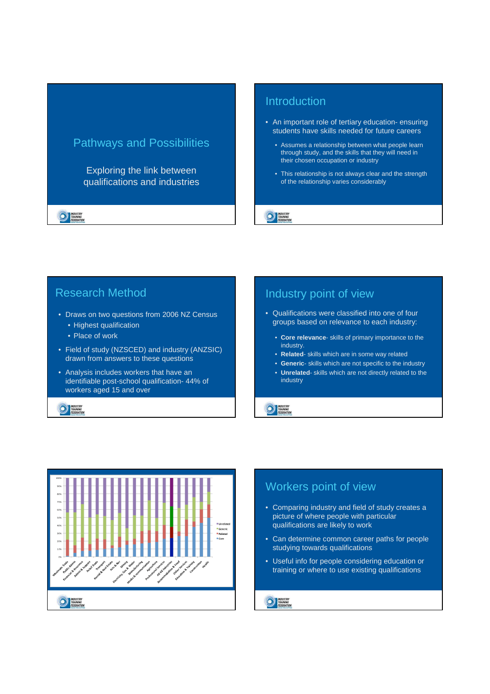## Pathways and Possibilities

Exploring the link between qualifications and industries

**EDERATION** 

#### Introduction

- An important role of tertiary education- ensuring students have skills needed for future careers
	- Assumes a relationship between what people learn through study, and the skills that they will need in their chosen occupation or industry
	- This relationship is not always clear and the strength of the relationship varies considerably

#### **NOUSTRY**<br>
TRAINING<br>
FEDERATION

#### Research Method

- Draws on two questions from 2006 NZ Census
	- Highest qualification
	- Place of work
- Field of study (NZSCED) and industry (ANZSIC) drawn from answers to these questions
- Analysis includes workers that have an identifiable post-school qualification- 44% of workers aged 15 and over

**DE TRAINING**<br>FEDERATION

## Industry point of view

- Qualifications were classified into one of four groups based on relevance to each industry:
	- **Core relevance** skills of primary importance to the industry.
	- **Related** skills which are in some way related
	- **Generic** skills which are not specific to the industry
	- **Unrelated** skills which are not directly related to the industry

**DE TRAINING**<br>FEDERATION



# Workers point of view

- Comparing industry and field of study creates a picture of where people with particular qualifications are likely to work
- Can determine common career paths for people studying towards qualifications
- Useful info for people considering education or training or where to use existing qualifications

**DE TRAINING**